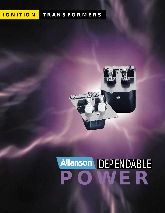## **IGNITION TRANSFORMERS**



# **POWER** Allanson DEPENDABLE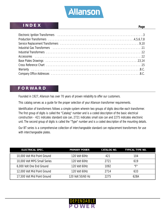

#### **INDEX**

| . .<br>٠<br>×<br>۰, |
|---------------------|
|---------------------|

| Industrial Gas Transformers (1990) and the contract of the contract of the contract of the contract of the contract of the contract of the contract of the contract of the contract of the contract of the contract of the con |
|--------------------------------------------------------------------------------------------------------------------------------------------------------------------------------------------------------------------------------|
|                                                                                                                                                                                                                                |
|                                                                                                                                                                                                                                |
|                                                                                                                                                                                                                                |
|                                                                                                                                                                                                                                |
|                                                                                                                                                                                                                                |
|                                                                                                                                                                                                                                |

#### **FORWARD**

Founded in 1927, Allanson has over 70 years of proven reliability to offer our customers.

This catalog serves as a guide for the proper selection of your Allanson transformer requirements.

Identification of transformers follows a simple system wherein two groups of digits describe each transformer. The first group of digits is called the "Catalog" number and is a coded description of the basic electrical construction - 421 indicates standard size can, 2721 indicates small size can and 2275 indicates electronic unit. The second group of digits is called the "Type" number and is a coded description of the mounting details.

Our BT series is a comprehensive collection of interchangeable standard can replacement transformers for use with interchangeable plates.

| <b>ELECTRICAL SPEC.</b>      | <b>PRIMARY POWER</b> | <b>CATALOG NO.</b> | <b>TYPICAL TYPE NO.</b> |
|------------------------------|----------------------|--------------------|-------------------------|
| 10,000 Volt Mid Point Ground | 120 Volt 60Hz        | 421                | 104                     |
| 10,000 Volt MPG Small Series | 120 Volt 60Hz        | 2721               | 619                     |
| 6,000 Volt One End Ground    | 120 Volt 60Hz        | 1092               | "F"                     |
| 12,000 Volt Mid Point Ground | 120 Volt 60Hz        | 2714               | 633                     |
| 17,500 Volt Mid Point Ground | 120 Volt 50/60 Hz    | 2275               | 628A                    |

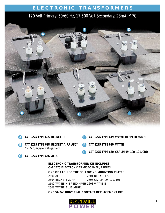## **ELECTRONIC TRANSFORMERS**

## 120 Volt Primary, 50/60 Hz, 17,500 Volt Secondary, 23mA, MPG



|                                                                                         | CAT 2275 TYPE 605, BECKETT S                                          | D | CAT 2275 TYPE 619, WAYNE HI SPEED M/MH      |  |  |  |
|-----------------------------------------------------------------------------------------|-----------------------------------------------------------------------|---|---------------------------------------------|--|--|--|
| $\mathsf{B}$                                                                            | CAT 2275 TYPE 628, BECKETT A, AF, AFG*<br>* AFG complete with gaskets |   | <b>CAT 2275 TYPE 620, WAYNE</b>             |  |  |  |
|                                                                                         | CAT 2275 TYPE 456, AERO                                               |   | CAT 2275 TYPE 630, CARLIN 99, 100, 101, CRD |  |  |  |
| <b>ELECTRONIC TRANSFORMER KIT INCLUDES:</b><br>CAT 2275 ELECTRONIC TRANSFORMER, 2 UNITS |                                                                       |   |                                             |  |  |  |
|                                                                                         | ONE OF EACH OF THE FOLLOWING MOUNTING PLATES:                         |   |                                             |  |  |  |
|                                                                                         | 2600 AERO                                                             |   | 2601 BECKETT S                              |  |  |  |

2604 BECKETT A, AF 2605 CARLIN 99, 100, 101 2602 WAYNE HI SPEED M/MH 2603 WAYNE E 2606 WAYNE BLUE ANGEL

**ONE 54-740 UNIVERSAL CONTACT REPLACEMENT KIT**

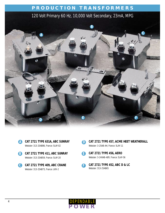

- **CAT 2721 TYPE 631A, ABC SUNRAY A** Webster: 313-25AB86, France: 5LAY-02
- **CAT 2721 TYPE 411, ABC SUNRAY B** Webster: 313-25AB59, France: 5LAY-20
- **CAT 2721 TYPE 409, ABC CRANE C** Webster: 313-25AB73, France: LKR-2
- **CAT 2721 TYPE 457, ACME HEET WEATHERALL** Webster: 3-25AB-AH, France: 5LAY-11 **D**
- **CAT 2721 TYPE 456, AERO E** Webster: 3-24XAB-AER, France: 5LAY-56
- **CAT 2721 TYPE 452, ABC D & LC** Webster: 313-25AB65 **F**

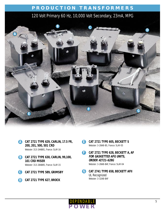

- **CAT 2721 TYPE 629, CARLIN, 17.5 FR, A 200, 201, 500, 501 CRD** Webster: 313-24AB81, France: 5LAY-16
- **CAT 2721 TYPE 630, CARLIN, 99,100, B 101 CRD MISER** Webster: 313-28AB85, France: 5LAY-15
- **CAT 2721 TYPE 589, GRIMSBY C**
- **CAT 2721 TYPE 627, BROCK D**
- **CAT 2721 TYPE 605, BECKETT S E** Webster: 3-28AB-BS, France: 5LAY-05
- **CAT 2721 TYPE 628, BECKETT A, AF FOR GASKETTED AFG UNITS, ORDER #2721-628G** Webster: 3-28AB-BAF, France: 5LAY-04 **F**
- **CAT 2741 TYPE 658, BECKETT AFII G** UL Recognized Webster: 3-32AB-BAF

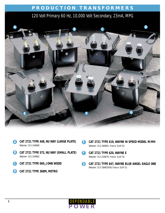

|             | CAT 2721 TYPE 448, NU WAY (LARGE PLATE)<br>Webster: 313-24AB80 |              | CAT 2721 TYPE 619, WAYNE HI SPEED MODEL M/MH<br>Webster: 313-28AB91, France: 5LAY-03    |
|-------------|----------------------------------------------------------------|--------------|-----------------------------------------------------------------------------------------|
| (B)         | CAT 2721 TYPE 572, NU WAY (SMALL PLATE)<br>Webster: 313-24AB82 |              | CAT 2721 TYPE 620, WAYNE E<br>Webster: 313-25AB78, France: 5LAY-30                      |
| C           | CAT 2721 TYPE 069, JOHN WOOD                                   | $\mathsf{G}$ | CAT 2721 TYPE 647, WAYNE BLUE ANGEL EAGLE ONE<br>Webster: 313-28AB205W, France: 5LAY-31 |
| $\mathbf D$ | CAT 2721 TYPE 368M, METRO                                      |              |                                                                                         |

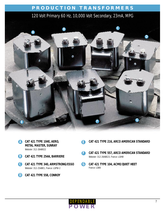

- **CAT 421 TYPE 104E, AERO, A METAL MASTER, SUNRAY** Webster: 312-26AB022
- **CAT 421 TYPE 254A, BARRIERE B**
- **CAT 421 TYPE 340, ARMSTRONG/ESSO C** Webster: 312-25ABE1, France: LGPW-2
- **CAT 421 TYPE 558, CONROY D**
- **CAT 421 TYPE 216, ARCO AMERICAN STANDARD E**
- **CAT 421 TYPE 557, ARCO AMERICAN STANDARD** Webster: 312-26ABE23, France: LGHW **F**
- **CAT 421 TYPE 104, ACME/QUIET HEET** France: LGNV **G**

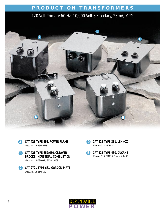



- **CAT 421 TYPE 659/660, CLEAVER B E BROOKS/INDUSTRIAL COMBUSTION** Webster: 312-08AO97 / 312-810169
- **CAT 2721 TYPE 661, GORDON PIATT C** Webster: 313-25AB100





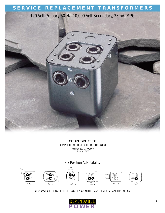## **SERVICE REPLACEMENT TRANSFORMERS**

120 Volt Primary 60 Hz, 10,000 Volt Secondary, 23mA, MPG



**CAT 421 TYPE BT 636** COMPLETE WITH REQUIRED HARDWARE Webster: 312-25AX0600 France: LAUV

#### Six Position Adaptability



ALSO AVAILABLE UPON REQUEST 5 WAY REPLACEMENT TRANSFORMER CAT 421 TYPE BT 384

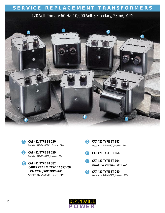## **SERVICE REPLACEMENT TRANSFORMERS**

#### 120 Volt Primary 60 Hz, 10,000 Volt Secondary, 23mA, MPG



**CAT 421 TYPE BT 290 A** Webster: 312-24AB0202, France: LGDV

**CAT 421 TYPE BT 299 B** Webster: 312-25A0202, France: LFBV

**CAT 421 TYPE BT 332 C ORDER CAT 421 TYPE BT 053 FOR EXTERNAL JUNCTION BOX**

Webster: 312-25AB0202, France: LGFV

- **CAT 421 TYPE BT 387 D** Webster: 312-24AO202, France: LFAV
- **CAT 421 TYPE BT 066 E**
- **CAT 421 TYPE BT 104** Webster: 312-24AB0237, France: LGCV **F**



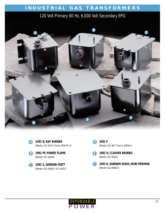## **INDUSTRIAL GAS TRANSFORMERS**

#### 120 Volt Primary 60 Hz, 6,000 Volt Secondary EPG



**1092 N, RAY BURNER** Webster: 613-6A10, France: 3RAFYR-14



**1092 PF, POWER FLAME B** Webster: 612-6AO56

**1092 S, GORDON-PIATT C** Webster: 612-6A020 / 612-6A072

**1092 F** Webster: 612-6A7, France: 6EEGW-2 **D**

**1092 H, CLEAVER BROOKS E** Webster: 612-8A021

**1092 K, DUNHAM-BUSH, IRON FIREMAN** Webster: 612-8AB017 **F**

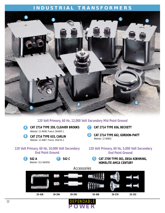#### **INDUSTRIAL TRANSFORMERS**



**120 Volt Primary, 60 Hz, 12,000 Volt Secondary Mid Point Ground**

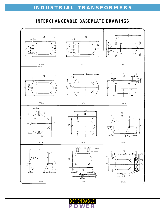## **INTERCHANGEABLE BASEPLATE DRAWINGS**



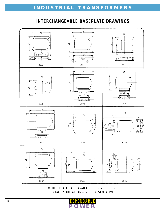## **INTERCHANGEABLE BASEPLATE DRAWINGS**



\* OTHER PLATES ARE AVAILABLE UPON REQUEST. CONTACT YOUR ALLANSON REPRESENTATIVE.

DEPENDABLE

**POWER**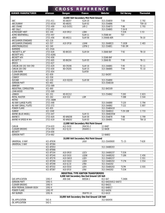|                              |                 |                 | <b>CROSS REFERENCE</b>                        |                     |                   |                  |
|------------------------------|-----------------|-----------------|-----------------------------------------------|---------------------|-------------------|------------------|
| <b>BURNER MANUFACTURER</b>   | <b>Allanson</b> | <b>Dongan</b>   | <b>France</b>                                 | Webster             | <b>Sid Harvey</b> | <b>Thermolok</b> |
|                              |                 |                 | 10,000 Volt Secondary Mid Point Ground        |                     |                   |                  |
| ABC                          | 2721-411        | XD-AB207        | 5LAY-20                                       | 313-25AB59          | $T-84$            | $C-792$          |
| <b>ABC/SUNRAY</b>            | 2721-631A       | <b>XD-AB201</b> | 5LAY-02                                       | 313-25AB86          |                   | <b>TSR-10</b>    |
| ABC-CRANE                    | 2721-409        | A10-SV351       | LKR-2                                         | 313-25AB73          | $T-86$            | $C-793$          |
| ABC-D&LC                     | 2721-452        |                 |                                               | 313-25AB65          | $T-34-B$          |                  |
| <b>ACME/QUIET HEET</b>       | 421-104         | A10-SR12        | LGNV                                          |                     | $T-31N$           | $C-53$           |
| <b>ACME-WEATHERALL</b>       | 2721-457        |                 | 5LAY-11                                       | 3-25AB-AH           | <b>T37</b>        |                  |
| <b>AERO</b>                  | 2721-456        | XD-AR211        | 5LAY-56                                       | 3-24XAB-AER         |                   | TA-10            |
| ARCO/AMER.STANDARD           | 421-216         |                 |                                               |                     |                   |                  |
| ARCO/AMER.STANDARD           | 421-557         | A10-SP18        | <b>LGHW</b>                                   | 312-26ABE23         | $T-183B$          | $C-483$          |
| ARMSTRONG/ESSO               | 421-340         |                 | LGPW-2                                        | 312-25ABE1          | T-80-3M           |                  |
| <b>BARRIERE</b>              | 421-254A        |                 |                                               |                     |                   |                  |
| "BECKETT A, AF"              | 2721-628        | XD-BK103        | 5LAY-04                                       | 3-28AB-BAF          | $T-92$            | TB-10            |
| <b>BECKETT AFG</b>           | 2721-628G       |                 |                                               |                     |                   |                  |
| <b>BECKETT AFII</b>          | 2741-658        |                 |                                               | 3-32AB-BAF          |                   |                  |
| <b>BECKETT S</b>             | 2721-605        | XD-BK204        | $5I$ AY-05                                    | 3-28AB-BS           | $T-90$            | <b>TB-11</b>     |
| <b>BROCK</b>                 | 2721-627        |                 |                                               |                     |                   |                  |
| CARLIIN 200 201 500 CRD      | 2721-629        | XD-CR206        | 5LAY-16                                       | 313-24AB81          | $T-95$            | $TC-11$          |
| CARLIN 100 CRD               | 2721-630        | XD-CR205        | 5LAY-15                                       | 313-28AB85          | $T-94$            | $TC-10$          |
| <b>CLEAN BURN</b>            | 2721-654        |                 | 5LAY59                                        |                     |                   |                  |
| <b>CLEAVER BROOKS</b>        | 421-659         |                 |                                               | 312-8A097           |                   |                  |
| <b>CONROY</b>                | 421-558         |                 |                                               |                     |                   |                  |
| <b>DUCANE</b>                | 421-430         | A10-SQ182       | 5LAY-06                                       | 313-25AB90          |                   |                  |
| <b>GORDON PIATT</b>          | 421-661         |                 |                                               | 313-25AB100         |                   |                  |
| <b>GRIMSBY</b>               | 2721-589        |                 |                                               |                     |                   |                  |
| <b>INDUSTRIAL COMBUSTION</b> | 421-660         |                 |                                               | 312-8A0169          |                   |                  |
| <b>JOHN WOOD</b>             | 2721-069        |                 |                                               |                     |                   |                  |
| <b>LENNOX</b>                | 421-331         | XD-DC212        |                                               | 313-25AB62          | $T-265$           | $C-823$          |
| <b>METAL MASTER</b>          | 421-262         | A10-S32         | <b>LGM</b>                                    |                     | $T-28B$           | $C - 544$        |
| <b>METRO</b>                 | 2721-368M       |                 |                                               |                     |                   |                  |
| <b>NU-WAY (LARGE PLATE)</b>  | 2721-448        |                 |                                               | 313-24AB80          | $T-120$           | $C-794$          |
| <b>NU-WAY (SMALL PLATE)</b>  | 2721-572        |                 |                                               | 313-24AB82          | $T-122$           | $C-807$          |
| POWER FLAME                  | 421-655         |                 |                                               | 312-25AB0418        |                   |                  |
| <b>SUNRAY</b>                | 421-104E        |                 |                                               | 312-26AB022         | T-29-10B          | $C-733$          |
| <b>WAYNE (BLUE ANGEL)</b>    | 2721-647        |                 | 5LAY-31                                       | 313-28AB205W        |                   |                  |
| <b>WAYNE E</b>               | 2721-620        | <b>XD-WN208</b> | 5LAY-30                                       | 313-25AB78          | T-88              | $C-799$          |
| WAYNE HI SPEED M MH          | 2721-619        | <b>XD-WN202</b> | 5LAY-03                                       | 313-28AB91          | $T-93$            | <b>TW-10</b>     |
|                              |                 |                 | 12,000 Volt Secondary Mid Point Ground        |                     |                   |                  |
| CARLIN                       | 2714-633        | A12-SV10        | 2KACVS-2                                      | 12-8AB7             |                   |                  |
| <b>CLEAVER BROOKS</b>        | 2714-359        | A12-SJ10        | 2KAAVS-1                                      | 12-8A08             |                   |                  |
| <b>BECKETT</b>               | 2714-656        |                 |                                               |                     |                   |                  |
| <b>GORDON PIATT</b>          | 2714-662        |                 |                                               | 12-8AB02            |                   |                  |
|                              |                 |                 | 10,000 Volt Secondary Mid Point Ground        |                     |                   |                  |
| UNIVERSAL 6 WAY              | 421-BT636       |                 | LAUV                                          | 312-25AX0600        | $T1-15$           | $T-628$          |
| <b>UNIVERSAL 5 WAY</b>       | 421-BT384       |                 |                                               |                     |                   |                  |
|                              | 421-BT053       |                 |                                               | 312-24ABE203        |                   |                  |
|                              | 421-BT066       |                 |                                               |                     |                   |                  |
|                              | 421-BT104       | A10-SR10        | LGCV                                          | 312-24AB0237        | $T-31N$           |                  |
|                              | 421-BT240       | A10-SX10        | <b>LGDW</b>                                   | 312-24ABE202        | $T-18N$           | $C-456$          |
|                              | 421-BT276       | A10-SW10        | LGEV                                          | 312-25AB0237        |                   | $C-551$          |
|                              | 421-BT290       | A10-SQ10        | LGDV                                          | 312-24AB0202        | $T-17N$           | $C-554$          |
|                              | 421-BT299       | A10-SJ10        | LFBV                                          | 312-25A0202         |                   |                  |
|                              | 421-BT332       | A10-SV10        | LGFV                                          | 312-25AB0202        | T17M              | $C-555$          |
|                              | 421-BT387       | A10-SF10        | LFAV                                          | 312-24A0202         | $T-21N$           |                  |
|                              |                 |                 | INDUSTRIAL TYPE IGNITION TRANSFORMERS         |                     |                   |                  |
|                              |                 |                 | 6,000 Volt Secondary One End Ground 120 Volt  |                     |                   |                  |
| <b>GAS APPLICATION</b>       | 1092-F          | A06-SA6         | 6EEGW-2                                       | 612-6A7             | T-246N            |                  |
| <b>GORDON-PIATT</b>          | $1092-S$        |                 |                                               | 612-6A020/612-6A072 |                   |                  |
| <b>CLEAVER BROOKS</b>        | $1092-H$        |                 |                                               | 612-8A021           |                   |                  |
| IRON FIREMAN, DUNHAM-BUSH    | $1092 - K$      |                 |                                               | 612-8AB017          |                   |                  |
| POWER FLAME                  | 1092-PF         |                 |                                               | 612-6A056           |                   |                  |
| <b>RAY BURNER</b>            | $1092 - N$      |                 | 3RAFYR-14                                     | 613-6A10            |                   |                  |
|                              |                 |                 | 10,000 Volt Secondary One End Ground 120 Volt |                     |                   |                  |
| OIL APPLICATION              | $542-A$         |                 |                                               | 312-6A0456          |                   |                  |
| <b>OIL APPLICATION</b>       | $542-C$         |                 |                                               |                     |                   |                  |
|                              |                 |                 |                                               |                     |                   |                  |